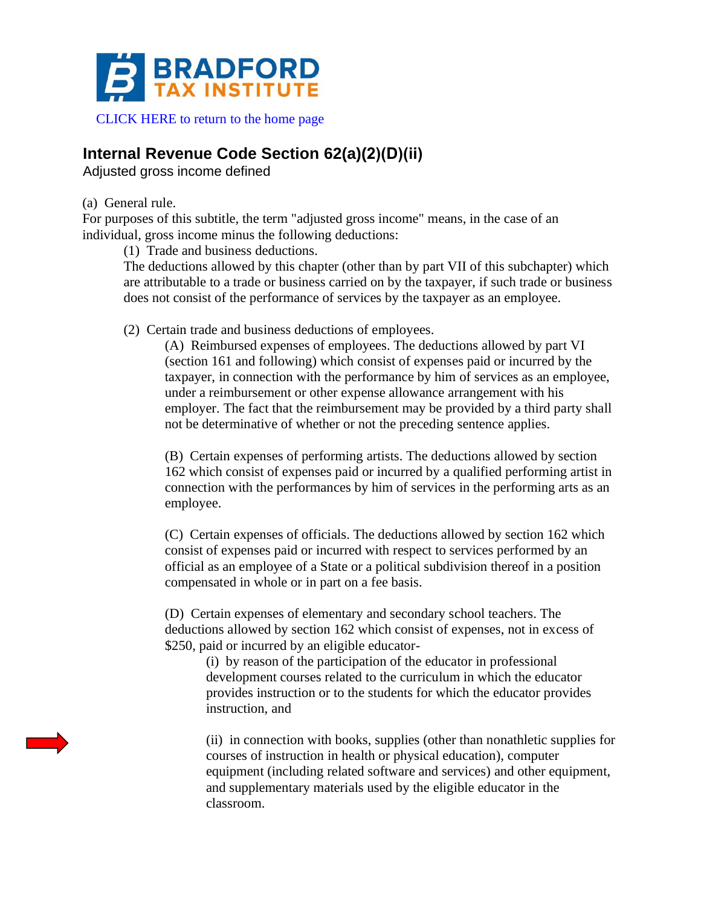

[CLICK HERE to return to the home page](https://www.bradfordtaxinstitute.com)

## **Internal Revenue Code Section 62(a)(2)(D)(ii)**

Adjusted gross income defined

(a) General rule.

For purposes of this subtitle, the term "adjusted gross income" means, in the case of an individual, gross income minus the following deductions:

(1) Trade and business deductions.

The deductions allowed by this chapter (other than by part VII of this subchapter) which are attributable to a trade or business carried on by the taxpayer, if such trade or business does not consist of the performance of services by the taxpayer as an employee.

(2) Certain trade and business deductions of employees.

(A) Reimbursed expenses of employees. The deductions allowed by part VI (section 161 and following) which consist of expenses paid or incurred by the taxpayer, in connection with the performance by him of services as an employee, under a reimbursement or other expense allowance arrangement with his employer. The fact that the reimbursement may be provided by a third party shall not be determinative of whether or not the preceding sentence applies.

(B) Certain expenses of performing artists. The deductions allowed by section 162 which consist of expenses paid or incurred by a qualified performing artist in connection with the performances by him of services in the performing arts as an employee.

(C) Certain expenses of officials. The deductions allowed by section 162 which consist of expenses paid or incurred with respect to services performed by an official as an employee of a State or a political subdivision thereof in a position compensated in whole or in part on a fee basis.

(D) Certain expenses of elementary and secondary school teachers. The deductions allowed by section 162 which consist of expenses, not in excess of \$250, paid or incurred by an eligible educator-

(i) by reason of the participation of the educator in professional development courses related to the curriculum in which the educator provides instruction or to the students for which the educator provides instruction, and

(ii) in connection with books, supplies (other than nonathletic supplies for courses of instruction in health or physical education), computer equipment (including related software and services) and other equipment, and supplementary materials used by the eligible educator in the classroom.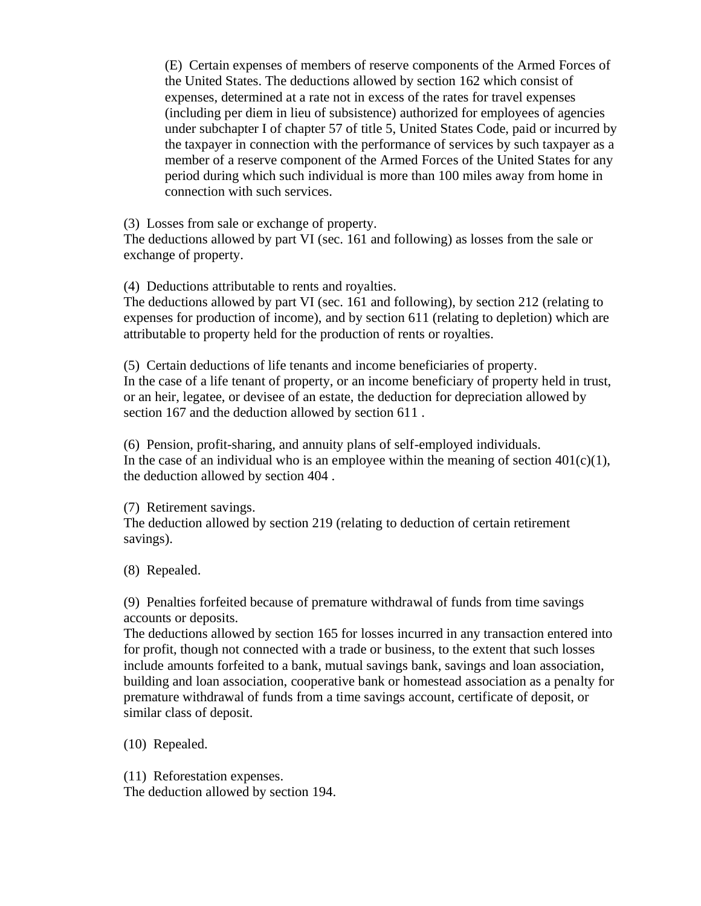(E) Certain expenses of members of reserve components of the Armed Forces of the United States. The deductions allowed by section 162 which consist of expenses, determined at a rate not in excess of the rates for travel expenses (including per diem in lieu of subsistence) authorized for employees of agencies under subchapter I of chapter 57 of title 5, United States Code, paid or incurred by the taxpayer in connection with the performance of services by such taxpayer as a member of a reserve component of the Armed Forces of the United States for any period during which such individual is more than 100 miles away from home in connection with such services.

(3) Losses from sale or exchange of property.

The deductions allowed by part VI (sec. 161 and following) as losses from the sale or exchange of property.

(4) Deductions attributable to rents and royalties.

The deductions allowed by part VI (sec. 161 and following), by section 212 (relating to expenses for production of income), and by section 611 (relating to depletion) which are attributable to property held for the production of rents or royalties.

(5) Certain deductions of life tenants and income beneficiaries of property. In the case of a life tenant of property, or an income beneficiary of property held in trust, or an heir, legatee, or devisee of an estate, the deduction for depreciation allowed by section 167 and the deduction allowed by section 611 .

(6) Pension, profit-sharing, and annuity plans of self-employed individuals. In the case of an individual who is an employee within the meaning of section  $401(c)(1)$ , the deduction allowed by section 404 .

(7) Retirement savings.

The deduction allowed by section 219 (relating to deduction of certain retirement savings).

(8) Repealed.

(9) Penalties forfeited because of premature withdrawal of funds from time savings accounts or deposits.

The deductions allowed by section 165 for losses incurred in any transaction entered into for profit, though not connected with a trade or business, to the extent that such losses include amounts forfeited to a bank, mutual savings bank, savings and loan association, building and loan association, cooperative bank or homestead association as a penalty for premature withdrawal of funds from a time savings account, certificate of deposit, or similar class of deposit.

(10) Repealed.

(11) Reforestation expenses.

The deduction allowed by section 194.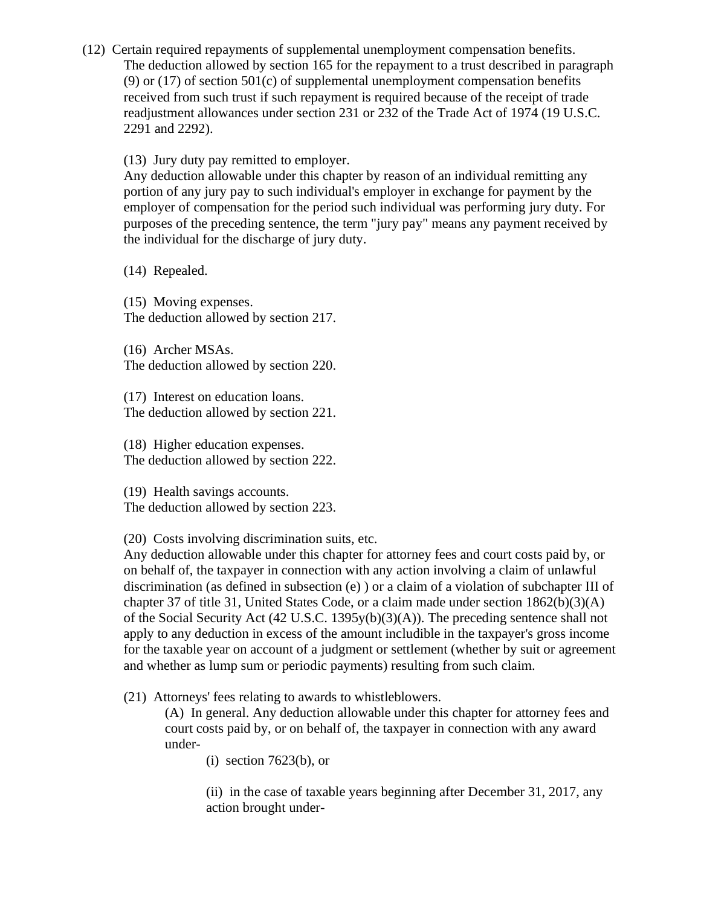(12) Certain required repayments of supplemental unemployment compensation benefits. The deduction allowed by section 165 for the repayment to a trust described in paragraph (9) or  $(17)$  of section  $501(c)$  of supplemental unemployment compensation benefits received from such trust if such repayment is required because of the receipt of trade readjustment allowances under section 231 or 232 of the Trade Act of 1974 (19 U.S.C. 2291 and 2292).

(13) Jury duty pay remitted to employer.

Any deduction allowable under this chapter by reason of an individual remitting any portion of any jury pay to such individual's employer in exchange for payment by the employer of compensation for the period such individual was performing jury duty. For purposes of the preceding sentence, the term "jury pay" means any payment received by the individual for the discharge of jury duty.

(14) Repealed.

(15) Moving expenses. The deduction allowed by section 217.

(16) Archer MSAs. The deduction allowed by section 220.

(17) Interest on education loans. The deduction allowed by section 221.

(18) Higher education expenses. The deduction allowed by section 222.

(19) Health savings accounts. The deduction allowed by section 223.

(20) Costs involving discrimination suits, etc.

Any deduction allowable under this chapter for attorney fees and court costs paid by, or on behalf of, the taxpayer in connection with any action involving a claim of unlawful discrimination (as defined in subsection (e) ) or a claim of a violation of subchapter III of chapter 37 of title 31, United States Code, or a claim made under section 1862(b)(3)(A) of the Social Security Act (42 U.S.C. 1395y(b)(3)(A)). The preceding sentence shall not apply to any deduction in excess of the amount includible in the taxpayer's gross income for the taxable year on account of a judgment or settlement (whether by suit or agreement and whether as lump sum or periodic payments) resulting from such claim.

(21) Attorneys' fees relating to awards to whistleblowers.

(A) In general. Any deduction allowable under this chapter for attorney fees and court costs paid by, or on behalf of, the taxpayer in connection with any award under-

(i) section 7623(b), or

(ii) in the case of taxable years beginning after December 31, 2017, any action brought under